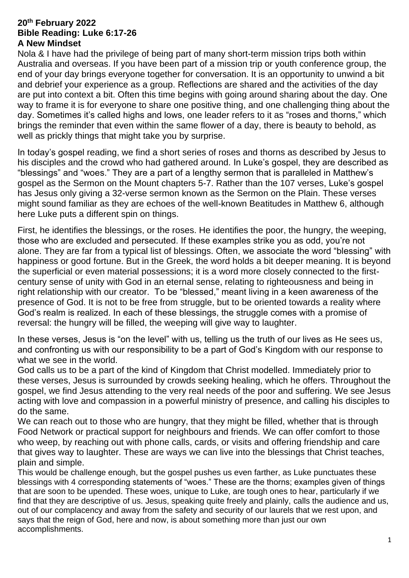#### **20th February 2022 Bible Reading: Luke 6:17-26 A New Mindset**

Nola & I have had the privilege of being part of many short-term mission trips both within Australia and overseas. If you have been part of a mission trip or youth conference group, the end of your day brings everyone together for conversation. It is an opportunity to unwind a bit and debrief your experience as a group. Reflections are shared and the activities of the day are put into context a bit. Often this time begins with going around sharing about the day. One way to frame it is for everyone to share one positive thing, and one challenging thing about the day. Sometimes it's called highs and lows, one leader refers to it as "roses and thorns," which brings the reminder that even within the same flower of a day, there is beauty to behold, as well as prickly things that might take you by surprise.

In today's gospel reading, we find a short series of roses and thorns as described by Jesus to his disciples and the crowd who had gathered around. In Luke's gospel, they are described as "blessings" and "woes." They are a part of a lengthy sermon that is paralleled in Matthew's gospel as the Sermon on the Mount chapters 5-7. Rather than the 107 verses, Luke's gospel has Jesus only giving a 32-verse sermon known as the Sermon on the Plain. These verses might sound familiar as they are echoes of the well-known Beatitudes in Matthew 6, although here Luke puts a different spin on things.

First, he identifies the blessings, or the roses. He identifies the poor, the hungry, the weeping, those who are excluded and persecuted. If these examples strike you as odd, you're not alone. They are far from a typical list of blessings. Often, we associate the word "blessing" with happiness or good fortune. But in the Greek, the word holds a bit deeper meaning. It is beyond the superficial or even material possessions; it is a word more closely connected to the firstcentury sense of unity with God in an eternal sense, relating to righteousness and being in right relationship with our creator. To be "blessed," meant living in a keen awareness of the presence of God. It is not to be free from struggle, but to be oriented towards a reality where God's realm is realized. In each of these blessings, the struggle comes with a promise of reversal: the hungry will be filled, the weeping will give way to laughter.

In these verses, Jesus is "on the level" with us, telling us the truth of our lives as He sees us, and confronting us with our responsibility to be a part of God's Kingdom with our response to what we see in the world.

God calls us to be a part of the kind of Kingdom that Christ modelled. Immediately prior to these verses, Jesus is surrounded by crowds seeking healing, which he offers. Throughout the gospel, we find Jesus attending to the very real needs of the poor and suffering. We see Jesus acting with love and compassion in a powerful ministry of presence, and calling his disciples to do the same.

We can reach out to those who are hungry, that they might be filled, whether that is through Food Network or practical support for neighbours and friends. We can offer comfort to those who weep, by reaching out with phone calls, cards, or visits and offering friendship and care that gives way to laughter. These are ways we can live into the blessings that Christ teaches, plain and simple.

This would be challenge enough, but the gospel pushes us even farther, as Luke punctuates these blessings with 4 corresponding statements of "woes." These are the thorns; examples given of things that are soon to be upended. These woes, unique to Luke, are tough ones to hear, particularly if we find that they are descriptive of us. Jesus, speaking quite freely and plainly, calls the audience and us, out of our complacency and away from the safety and security of our laurels that we rest upon, and says that the reign of God, here and now, is about something more than just our own accomplishments.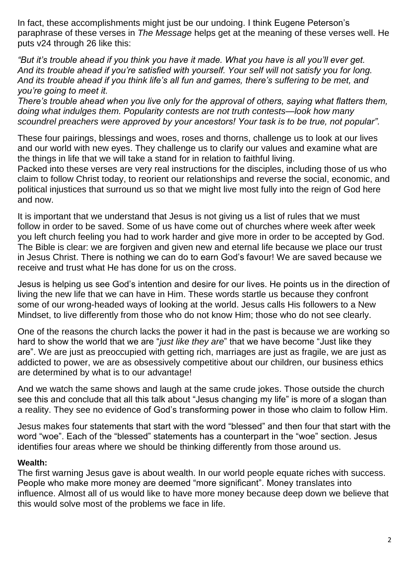In fact, these accomplishments might just be our undoing. I think Eugene Peterson's paraphrase of these verses in *The Message* helps get at the meaning of these verses well. He puts v24 through 26 like this:

*"But it's trouble ahead if you think you have it made. What you have is all you'll ever get. And its trouble ahead if you're satisfied with yourself. Your self will not satisfy you for long. And its trouble ahead if you think life's all fun and games, there's suffering to be met, and you're going to meet it.*

*There's trouble ahead when you live only for the approval of others, saying what flatters them, doing what indulges them. Popularity contests are not truth contests—look how many scoundrel preachers were approved by your ancestors! Your task is to be true, not popular".*

These four pairings, blessings and woes, roses and thorns, challenge us to look at our lives and our world with new eyes. They challenge us to clarify our values and examine what are the things in life that we will take a stand for in relation to faithful living.

Packed into these verses are very real instructions for the disciples, including those of us who claim to follow Christ today, to reorient our relationships and reverse the social, economic, and political injustices that surround us so that we might live most fully into the reign of God here and now.

It is important that we understand that Jesus is not giving us a list of rules that we must follow in order to be saved. Some of us have come out of churches where week after week you left church feeling you had to work harder and give more in order to be accepted by God. The Bible is clear: we are forgiven and given new and eternal life because we place our trust in Jesus Christ. There is nothing we can do to earn God's favour! We are saved because we receive and trust what He has done for us on the cross.

Jesus is helping us see God's intention and desire for our lives. He points us in the direction of living the new life that we can have in Him. These words startle us because they confront some of our wrong-headed ways of looking at the world. Jesus calls His followers to a New Mindset, to live differently from those who do not know Him; those who do not see clearly.

One of the reasons the church lacks the power it had in the past is because we are working so hard to show the world that we are "*just like they are*" that we have become "Just like they are". We are just as preoccupied with getting rich, marriages are just as fragile, we are just as addicted to power, we are as obsessively competitive about our children, our business ethics are determined by what is to our advantage!

And we watch the same shows and laugh at the same crude jokes. Those outside the church see this and conclude that all this talk about "Jesus changing my life" is more of a slogan than a reality. They see no evidence of God's transforming power in those who claim to follow Him.

Jesus makes four statements that start with the word "blessed" and then four that start with the word "woe". Each of the "blessed" statements has a counterpart in the "woe" section. Jesus identifies four areas where we should be thinking differently from those around us.

## **Wealth:**

The first warning Jesus gave is about wealth. In our world people equate riches with success. People who make more money are deemed "more significant". Money translates into influence. Almost all of us would like to have more money because deep down we believe that this would solve most of the problems we face in life.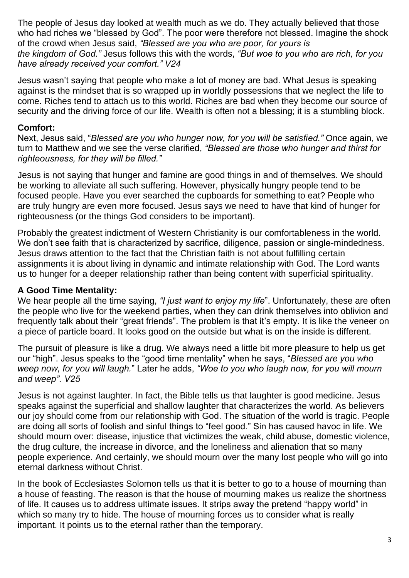The people of Jesus day looked at wealth much as we do. They actually believed that those who had riches we "blessed by God". The poor were therefore not blessed. Imagine the shock of the crowd when Jesus said, *"Blessed are you who are poor, for yours is the kingdom of God."* Jesus follows this with the words, *"But woe to you who are rich, for you have already received your comfort." V24*

Jesus wasn't saying that people who make a lot of money are bad. What Jesus is speaking against is the mindset that is so wrapped up in worldly possessions that we neglect the life to come. Riches tend to attach us to this world. Riches are bad when they become our source of security and the driving force of our life. Wealth is often not a blessing; it is a stumbling block.

### **Comfort:**

Next, Jesus said, "*Blessed are you who hunger now, for you will be satisfied."* Once again, we turn to Matthew and we see the verse clarified, *"Blessed are those who hunger and thirst for righteousness, for they will be filled."*

Jesus is not saying that hunger and famine are good things in and of themselves. We should be working to alleviate all such suffering. However, physically hungry people tend to be focused people. Have you ever searched the cupboards for something to eat? People who are truly hungry are even more focused. Jesus says we need to have that kind of hunger for righteousness (or the things God considers to be important).

Probably the greatest indictment of Western Christianity is our comfortableness in the world. We don't see faith that is characterized by sacrifice, diligence, passion or single-mindedness. Jesus draws attention to the fact that the Christian faith is not about fulfilling certain assignments it is about living in dynamic and intimate relationship with God. The Lord wants us to hunger for a deeper relationship rather than being content with superficial spirituality.

#### **A Good Time Mentality:**

We hear people all the time saying, *"I just want to enjoy my life*". Unfortunately, these are often the people who live for the weekend parties, when they can drink themselves into oblivion and frequently talk about their "great friends". The problem is that it's empty. It is like the veneer on a piece of particle board. It looks good on the outside but what is on the inside is different.

The pursuit of pleasure is like a drug. We always need a little bit more pleasure to help us get our "high". Jesus speaks to the "good time mentality" when he says, "*Blessed are you who weep now, for you will laugh.*" Later he adds, *"Woe to you who laugh now, for you will mourn and weep". V25*

Jesus is not against laughter. In fact, the Bible tells us that laughter is good medicine. Jesus speaks against the superficial and shallow laughter that characterizes the world. As believers our joy should come from our relationship with God. The situation of the world is tragic. People are doing all sorts of foolish and sinful things to "feel good." Sin has caused havoc in life. We should mourn over: disease, injustice that victimizes the weak, child abuse, domestic violence, the drug culture, the increase in divorce, and the loneliness and alienation that so many people experience. And certainly, we should mourn over the many lost people who will go into eternal darkness without Christ.

In the book of Ecclesiastes Solomon tells us that it is better to go to a house of mourning than a house of feasting. The reason is that the house of mourning makes us realize the shortness of life. It causes us to address ultimate issues. It strips away the pretend "happy world" in which so many try to hide. The house of mourning forces us to consider what is really important. It points us to the eternal rather than the temporary.